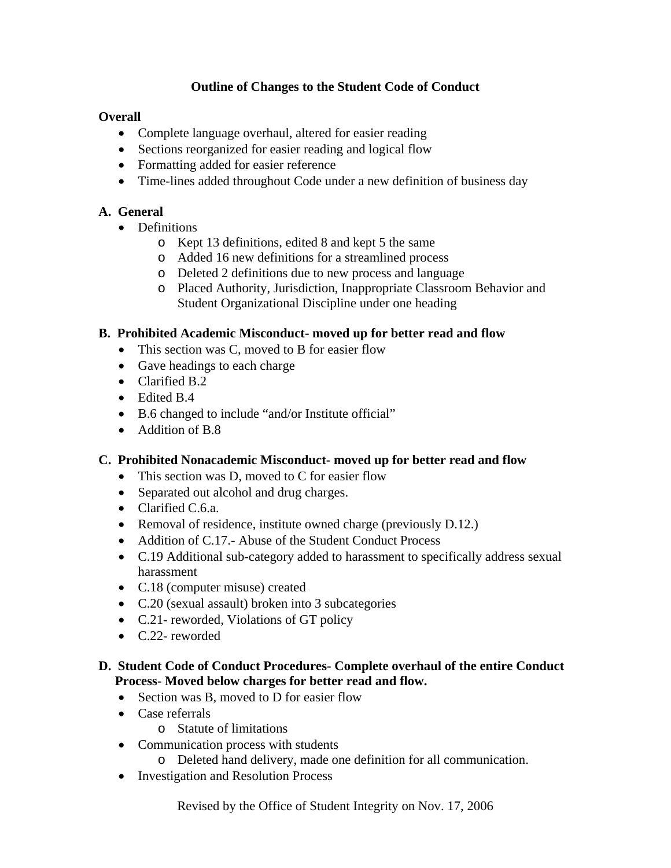# **Outline of Changes to the Student Code of Conduct**

## **Overall**

- Complete language overhaul, altered for easier reading
- Sections reorganized for easier reading and logical flow
- Formatting added for easier reference
- Time-lines added throughout Code under a new definition of business day

## **A. General**

- Definitions
	- o Kept 13 definitions, edited 8 and kept 5 the same
	- o Added 16 new definitions for a streamlined process
	- o Deleted 2 definitions due to new process and language
	- o Placed Authority, Jurisdiction, Inappropriate Classroom Behavior and Student Organizational Discipline under one heading

# **B. Prohibited Academic Misconduct- moved up for better read and flow**

- This section was C, moved to B for easier flow
- Gave headings to each charge
- Clarified B.2
- Edited B.4
- B.6 changed to include "and/or Institute official"
- Addition of B.8

### **C. Prohibited Nonacademic Misconduct- moved up for better read and flow**

- This section was D, moved to C for easier flow
- Separated out alcohol and drug charges.
- Clarified C.6.a.
- Removal of residence, institute owned charge (previously D.12.)
- Addition of C.17.- Abuse of the Student Conduct Process
- C.19 Additional sub-category added to harassment to specifically address sexual harassment
- C.18 (computer misuse) created
- C.20 (sexual assault) broken into 3 subcategories
- C.21- reworded, Violations of GT policy
- C.22- reworded

### **D. Student Code of Conduct Procedures- Complete overhaul of the entire Conduct Process- Moved below charges for better read and flow.**

- Section was B, moved to D for easier flow
- Case referrals
	- o Statute of limitations
- Communication process with students
	- o Deleted hand delivery, made one definition for all communication.
- Investigation and Resolution Process

Revised by the Office of Student Integrity on Nov. 17, 2006